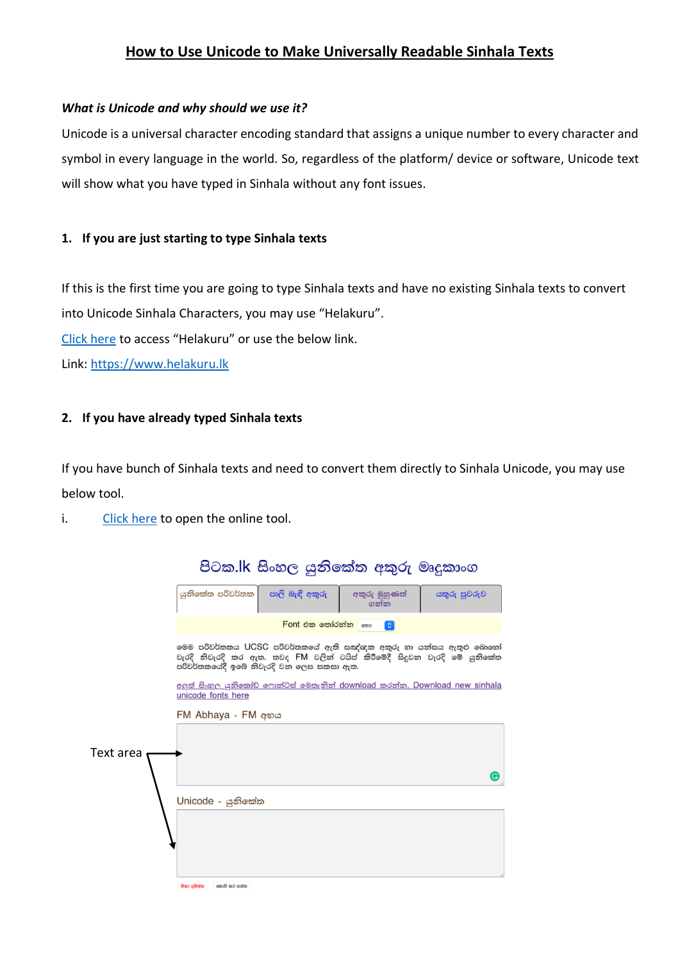## **How to Use Unicode to Make Universally Readable Sinhala Texts**

## *What is Unicode and why should we use it?*

Unicode is a universal character encoding standard that assigns a unique number to every character and symbol in every language in the world. So, regardless of the platform/ device or software, Unicode text will show what you have typed in Sinhala without any font issues.

## **1. If you are just starting to type Sinhala texts**

If this is the first time you are going to type Sinhala texts and have no existing Sinhala texts to convert into Unicode Sinhala Characters, you may use "Helakuru".

[Click here](.%20https:/www.helakuru.lk) to access "Helakuru" or use the below link.

Link: [https://www.helakuru.lk](https://www.helakuru.lk/)

## **2. If you have already typed Sinhala texts**

If you have bunch of Sinhala texts and need to convert them directly to Sinhala Unicode, you may use below tool.

i. [Click here](https://pitaka.lk/tools/unicode/fm_to_unicode.htm#id-un-abhaya) to open the online tool.

|           |                                                                                                                                                                                           |                 | පිටක.lk සිංහල යුනිකේත අකුරු මෘදුකාංග |              |
|-----------|-------------------------------------------------------------------------------------------------------------------------------------------------------------------------------------------|-----------------|--------------------------------------|--------------|
|           | යුනිකේත පරිවර්තක                                                                                                                                                                          | පාලි බැඳි අකුරු | අකුරු මුහුණත්<br>ගන්න                | යතුරු පුවරුව |
|           | Font එක තෝරන්න <sub>අභය</sub><br>$\ddot{\circ}$                                                                                                                                           |                 |                                      |              |
|           | මෙම පරිවර්තකය UCSC පරිවර්තකයේ ඇති සඤ්ඥක අකුරු හා යන්සය ඇතුළු බොහෝ<br>වැරදි නිවැරදි කර ඇත. තවද FM වලින් ටයිප් කිරීමේදී සිදුවන වැරදි මේ යුනිකේත<br>පරිවර්තකයේදී ඉබේ නිවැරදි වන ලෙස සකසා ඇත. |                 |                                      |              |
|           | <u>අලුත් සිංහල යුනිකෝඩ් ෆොන්ට්ස් මෙතැනින් download කරන්න. Download new sinhala</u><br>unicode fonts here                                                                                  |                 |                                      |              |
|           | FM Abhaya - FM අභය                                                                                                                                                                        |                 |                                      |              |
|           |                                                                                                                                                                                           |                 |                                      |              |
| Text area |                                                                                                                                                                                           |                 |                                      |              |
|           | Unicode - යුනිකේත                                                                                                                                                                         |                 |                                      |              |
|           |                                                                                                                                                                                           |                 |                                      |              |
|           |                                                                                                                                                                                           |                 |                                      |              |
|           | නොපී කර ගන්න<br>මසා දමන්න                                                                                                                                                                 |                 |                                      |              |